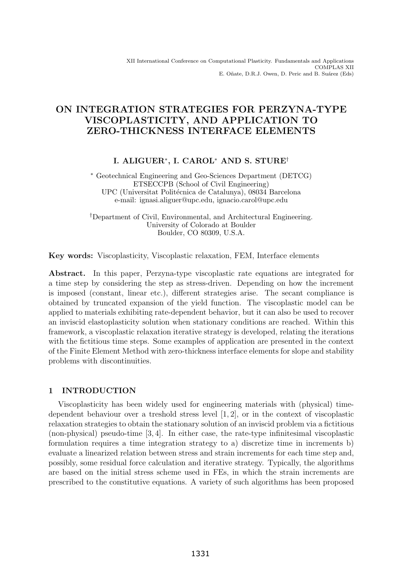# ON INTEGRATION STRATEGIES FOR PERZYNA-TYPE VISCOPLASTICITY, AND APPLICATION TO ZERO-THICKNESS INTERFACE ELEMENTS

# I. ALIGUER∗, I. CAROL<sup>∗</sup> AND S. STURE†

∗ Geotechnical Engineering and Geo-Sciences Department (DETCG) ETSECCPB (School of Civil Engineering) UPC (Universitat Politécnica de Catalunya), 08034 Barcelona e-mail: ignasi.aliguer@upc.edu, ignacio.carol@upc.edu

†Department of Civil, Environmental, and Architectural Engineering. University of Colorado at Boulder Boulder, CO 80309, U.S.A.

Key words: Viscoplasticity, Viscoplastic relaxation, FEM, Interface elements

Abstract. In this paper, Perzyna-type viscoplastic rate equations are integrated for a time step by considering the step as stress-driven. Depending on how the increment is imposed (constant, linear etc.), different strategies arise. The secant compliance is obtained by truncated expansion of the yield function. The viscoplastic model can be applied to materials exhibiting rate-dependent behavior, but it can also be used to recover an inviscid elastoplasticity solution when stationary conditions are reached. Within this framework, a viscoplastic relaxation iterative strategy is developed, relating the iterations with the fictitious time steps. Some examples of application are presented in the context of the Finite Element Method with zero-thickness interface elements for slope and stability problems with discontinuities.

# 1 INTRODUCTION

Viscoplasticity has been widely used for engineering materials with (physical) timedependent behaviour over a treshold stress level [1, 2], or in the context of viscoplastic relaxation strategies to obtain the stationary solution of an inviscid problem via a fictitious (non-physical) pseudo-time [3, 4]. In either case, the rate-type infinitesimal viscoplastic formulation requires a time integration strategy to a) discretize time in increments b) evaluate a linearized relation between stress and strain increments for each time step and, possibly, some residual force calculation and iterative strategy. Typically, the algorithms are based on the initial stress scheme used in FEs, in which the strain increments are prescribed to the constitutive equations. A variety of such algorithms has been proposed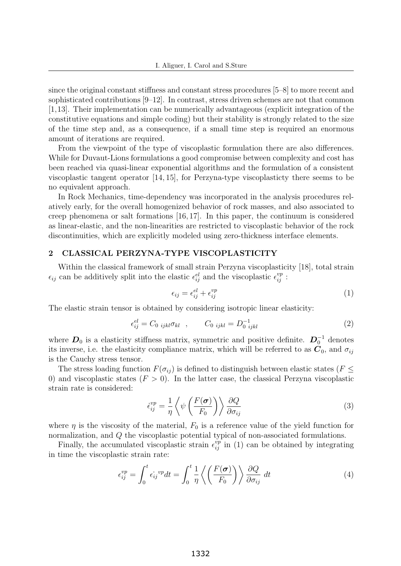since the original constant stiffness and constant stress procedures [5–8] to more recent and sophisticated contributions [9–12]. In contrast, stress driven schemes are not that common [1,13]. Their implementation can be numerically advantageous (explicit integration of the constitutive equations and simple coding) but their stability is strongly related to the size of the time step and, as a consequence, if a small time step is required an enormous amount of iterations are required.

From the viewpoint of the type of viscoplastic formulation there are also differences. While for Duvaut-Lions formulations a good compromise between complexity and cost has been reached via quasi-linear exponential algorithms and the formulation of a consistent viscoplastic tangent operator [14, 15], for Perzyna-type viscoplasticty there seems to be no equivalent approach.

In Rock Mechanics, time-dependency was incorporated in the analysis procedures relatively early, for the overall homogenized behavior of rock masses, and also associated to creep phenomena or salt formations [16, 17]. In this paper, the continuum is considered as linear-elastic, and the non-linearities are restricted to viscoplastic behavior of the rock discontinuities, which are explicitly modeled using zero-thickness interface elements.

# 2 CLASSICAL PERZYNA-TYPE VISCOPLASTICITY

Within the classical framework of small strain Perzyna viscoplasticity [18], total strain  $\epsilon_{ij}$  can be additively split into the elastic  $\epsilon_{ij}^{el}$  and the viscoplastic  $\epsilon_{ij}^{vp}$ :

$$
\epsilon_{ij} = \epsilon_{ij}^{el} + \epsilon_{ij}^{vp} \tag{1}
$$

The elastic strain tensor is obtained by considering isotropic linear elasticity:

$$
\epsilon_{ij}^{el} = C_{0 \ ijkl} \sigma_{kl} \quad , \qquad C_{0 \ ijkl} = D_{0 \ ijkl}^{-1} \tag{2}
$$

where  $D_0$  is a elasticity stiffness matrix, symmetric and positive definite.  $D_0^{-1}$  denotes its inverse, i.e. the elasticity compliance matrix, which will be referred to as  $C_0$ , and  $\sigma_{ij}$ is the Cauchy stress tensor.

The stress loading function  $F(\sigma_{ij})$  is defined to distinguish between elastic states ( $F \leq$ 0) and viscoplastic states  $(F > 0)$ . In the latter case, the classical Perzyna viscoplastic strain rate is considered:

$$
\dot{\epsilon}_{ij}^{vp} = \frac{1}{\eta} \left\langle \psi \left( \frac{F(\sigma)}{F_0} \right) \right\rangle \frac{\partial Q}{\partial \sigma_{ij}} \tag{3}
$$

where  $\eta$  is the viscosity of the material,  $F_0$  is a reference value of the yield function for normalization, and Q the viscoplastic potential typical of non-associated formulations.

Finally, the accumulated viscoplastic strain  $\epsilon_{ij}^{vp}$  in (1) can be obtained by integrating in time the viscoplastic strain rate:

$$
\epsilon_{ij}^{vp} = \int_0^t \epsilon_{ij}^{vp} dt = \int_0^t \frac{1}{\eta} \left\langle \left(\frac{F(\sigma)}{F_0}\right) \right\rangle \frac{\partial Q}{\partial \sigma_{ij}} dt \tag{4}
$$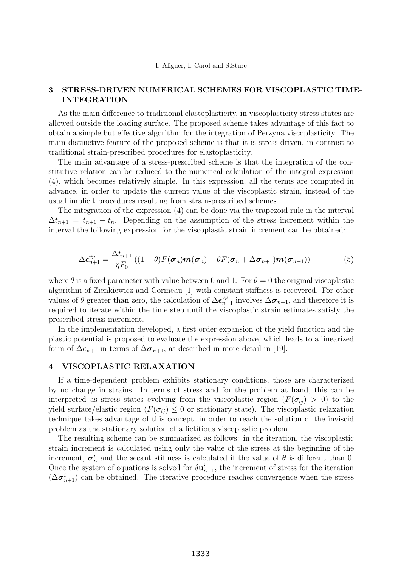## 3 STRESS-DRIVEN NUMERICAL SCHEMES FOR VISCOPLASTIC TIME-INTEGRATION

As the main difference to traditional elastoplasticity, in viscoplasticity stress states are allowed outside the loading surface. The proposed scheme takes advantage of this fact to obtain a simple but effective algorithm for the integration of Perzyna viscoplasticity. The main distinctive feature of the proposed scheme is that it is stress-driven, in contrast to traditional strain-prescribed procedures for elastoplasticity.

The main advantage of a stress-prescribed scheme is that the integration of the constitutive relation can be reduced to the numerical calculation of the integral expression (4), which becomes relatively simple. In this expression, all the terms are computed in advance, in order to update the current value of the viscoplastic strain, instead of the usual implicit procedures resulting from strain-prescribed schemes.

The integration of the expression (4) can be done via the trapezoid rule in the interval  $\Delta t_{n+1} = t_{n+1} - t_n$ . Depending on the assumption of the stress increment within the interval the following expression for the viscoplastic strain increment can be obtained:

$$
\Delta \boldsymbol{\epsilon}_{n+1}^{vp} = \frac{\Delta t_{n+1}}{\eta F_0} \left( (1-\theta) F(\boldsymbol{\sigma}_n) \boldsymbol{m}(\boldsymbol{\sigma}_n) + \theta F(\boldsymbol{\sigma}_n + \Delta \boldsymbol{\sigma}_{n+1}) \boldsymbol{m}(\boldsymbol{\sigma}_{n+1}) \right) \tag{5}
$$

where  $\theta$  is a fixed parameter with value between 0 and 1. For  $\theta = 0$  the original viscoplastic algorithm of Zienkiewicz and Cormeau [1] with constant stiffness is recovered. For other values of  $\theta$  greater than zero, the calculation of  $\Delta \epsilon_{n+1}^{vp}$  involves  $\Delta \sigma_{n+1}$ , and therefore it is required to iterate within the time step until the viscoplastic strain estimates satisfy the prescribed stress increment.

In the implementation developed, a first order expansion of the yield function and the plastic potential is proposed to evaluate the expression above, which leads to a linearized form of  $\Delta \epsilon_{n+1}$  in terms of  $\Delta \sigma_{n+1}$ , as described in more detail in [19].

### 4 VISCOPLASTIC RELAXATION

If a time-dependent problem exhibits stationary conditions, those are characterized by no change in strains. In terms of stress and for the problem at hand, this can be interpreted as stress states evolving from the viscoplastic region  $(F(\sigma_{ij}) > 0)$  to the yield surface/elastic region  $(F(\sigma_{ij}) \leq 0$  or stationary state). The viscoplastic relaxation technique takes advantage of this concept, in order to reach the solution of the inviscid problem as the stationary solution of a fictitious viscoplastic problem.

The resulting scheme can be summarized as follows: in the iteration, the viscoplastic strain increment is calculated using only the value of the stress at the beginning of the increment,  $\sigma_n^i$  and the secant stiffness is calculated if the value of  $\theta$  is different than 0. Once the system of equations is solved for  $\delta \mathbf{u}_{n+1}^i$ , the increment of stress for the iteration  $(\Delta \sigma_{n+1}^i)$  can be obtained. The iterative procedure reaches convergence when the stress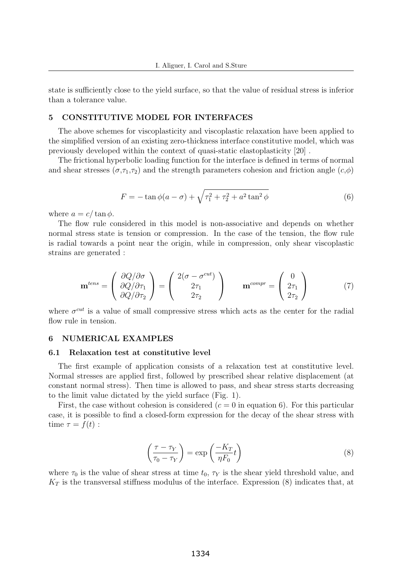state is sufficiently close to the yield surface, so that the value of residual stress is inferior than a tolerance value.

### 5 CONSTITUTIVE MODEL FOR INTERFACES

The above schemes for viscoplasticity and viscoplastic relaxation have been applied to the simplified version of an existing zero-thickness interface constitutive model, which was previously developed within the context of quasi-static elastoplasticity [20] .

The frictional hyperbolic loading function for the interface is defined in terms of normal and shear stresses  $(\sigma, \tau_1, \tau_2)$  and the strength parameters cohesion and friction angle  $(c, \phi)$ 

$$
F = -\tan\phi(a-\sigma) + \sqrt{\tau_1^2 + \tau_2^2 + a^2 \tan^2\phi}
$$
 (6)

where  $a = c/\tan \phi$ .

The flow rule considered in this model is non-associative and depends on whether normal stress state is tension or compression. In the case of the tension, the flow rule is radial towards a point near the origin, while in compression, only shear viscoplastic strains are generated :

$$
\mathbf{m}^{tens} = \begin{pmatrix} \frac{\partial Q}{\partial \sigma} \\ \frac{\partial Q}{\partial \tau_1} \\ \frac{\partial Q}{\partial \tau_2} \end{pmatrix} = \begin{pmatrix} 2(\sigma - \sigma^{cut}) \\ 2\tau_1 \\ 2\tau_2 \end{pmatrix} \qquad \mathbf{m}^{compr} = \begin{pmatrix} 0 \\ 2\tau_1 \\ 2\tau_2 \end{pmatrix}
$$
(7)

where  $\sigma^{cut}$  is a value of small compressive stress which acts as the center for the radial flow rule in tension.

#### 6 NUMERICAL EXAMPLES

#### 6.1 Relaxation test at constitutive level

The first example of application consists of a relaxation test at constitutive level. Normal stresses are applied first, followed by prescribed shear relative displacement (at constant normal stress). Then time is allowed to pass, and shear stress starts decreasing to the limit value dictated by the yield surface (Fig. 1).

First, the case without cohesion is considered  $(c = 0$  in equation 6). For this particular case, it is possible to find a closed-form expression for the decay of the shear stress with time  $\tau = f(t)$ :

$$
\left(\frac{\tau - \tau_Y}{\tau_0 - \tau_Y}\right) = \exp\left(\frac{-K_T}{\eta F_0}t\right) \tag{8}
$$

where  $\tau_0$  is the value of shear stress at time  $t_0$ ,  $\tau_Y$  is the shear yield threshold value, and  $K_T$  is the transversal stiffness modulus of the interface. Expression  $(8)$  indicates that, at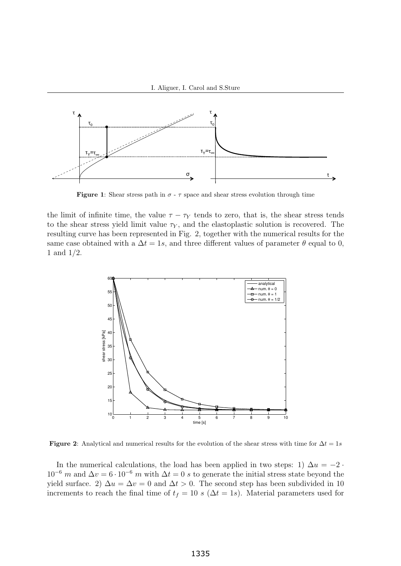

Figure 1: Shear stress path in  $\sigma$  -  $\tau$  space and shear stress evolution through time

same case obtained with a  $\Delta t = 1s$ , and three different values of parameter  $\theta$  equal to 0, the limit of infinite time, the value  $\tau - \tau_Y$  tends to zero, that is, the shear stress tends to the shear stress yield limit value  $\tau_Y$ , and the elastoplastic solution is recovered. The resulting curve has been represented in Fig. 2, together with the numerical results for the 1 and 1/2.



Figure 2: Analytical and numerical results for the evolution of the shear stress with time for  $\Delta t = 1s$ 

In the numerical calculations, the load has been applied in two steps: 1)  $\Delta u = -2$ .  $10^{-6}$  m and  $\Delta v = 6 \cdot 10^{-6}$  m with  $\Delta t = 0$  s to generate the initial stress state beyond the yield surface. 2)  $\Delta u = \Delta v = 0$  and  $\Delta t > 0$ . The second step has been subdivided in 10 increments to reach the final time of  $t_f = 10 s (\Delta t = 1s)$ . Material parameters used for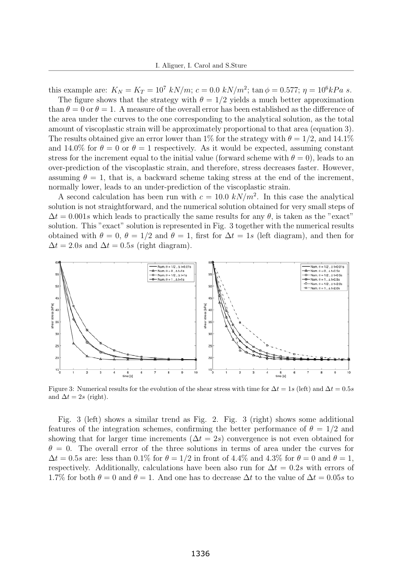this example are:  $K_N = K_T = 10^7$  kN/m;  $c = 0.0$  kN/m<sup>2</sup>; tan  $\phi = 0.577$ ;  $\eta = 10^6 kPa$  s.

The figure shows that the strategy with  $\theta = 1/2$  yields a much better approximation than  $\theta = 0$  or  $\theta = 1$ . A measure of the overall error has been established as the difference of the area under the curves to the one corresponding to the analytical solution, as the total amount of viscoplastic strain will be approximately proportional to that area (equation 3). The results obtained give an error lower than 1% for the strategy with  $\theta = 1/2$ , and 14.1% and 14.0% for  $\theta = 0$  or  $\theta = 1$  respectively. As it would be expected, assuming constant stress for the increment equal to the initial value (forward scheme with  $\theta = 0$ ), leads to an over-prediction of the viscoplastic strain, and therefore, stress decreases faster. However, assuming  $\theta = 1$ , that is, a backward scheme taking stress at the end of the increment, normally lower, leads to an under-prediction of the viscoplastic strain.

A second calculation has been run with  $c = 10.0 \ kN/m^2$ . In this case the analytical solution is not straightforward, and the numerical solution obtained for very small steps of  $\Delta t = 0.001s$  which leads to practically the same results for any  $\theta$ , is taken as the "exact" solution. This "exact" solution is represented in Fig. 3 together with the numerical results obtained with  $\theta = 0$ ,  $\theta = 1/2$  and  $\theta = 1$ , first for  $\Delta t = 1s$  (left diagram), and then for  $\Delta t = 2.0s$  and  $\Delta t = 0.5s$  (right diagram).



Figure 3: Numerical results for the evolution of the shear stress with time for  $\Delta t = 1s$  (left) and  $\Delta t = 0.5s$ and  $\Delta t = 2s$  (right).

Fig. 3 (left) shows a similar trend as Fig. 2. Fig. 3 (right) shows some additional features of the integration schemes, confirming the better performance of  $\theta = 1/2$  and showing that for larger time increments ( $\Delta t = 2s$ ) convergence is not even obtained for  $\theta = 0$ . The overall error of the three solutions in terms of area under the curves for  $\Delta t = 0.5s$  are: less than 0.1% for  $\theta = 1/2$  in front of 4.4% and 4.3% for  $\theta = 0$  and  $\theta = 1$ , respectively. Additionally, calculations have been also run for  $\Delta t = 0.2s$  with errors of 1.7% for both  $\theta = 0$  and  $\theta = 1$ . And one has to decrease  $\Delta t$  to the value of  $\Delta t = 0.05s$  to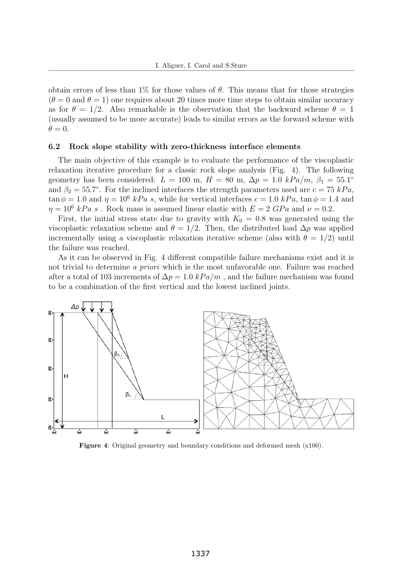obtain errors of less than  $1\%$  for those values of  $\theta$ . This means that for those strategies  $(\theta = 0$  and  $\theta = 1)$  one requires about 20 times more time steps to obtain similar accuracy as for  $\theta = 1/2$ . Also remarkable is the observation that the backward scheme  $\theta = 1$ (usually assumed to be more accurate) leads to similar errors as the forward scheme with  $\theta = 0.$ 

#### 6.2 Rock slope stability with zero-thickness interface elements

The main objective of this example is to evaluate the performance of the viscoplastic relaxation iterative procedure for a classic rock slope analysis (Fig. 4). The following geometry has been considered:  $L = 100$  m,  $H = 80$  m,  $\Delta p = 1.0$  kPa/m,  $\beta_1 = 55.1^\circ$ and  $\beta_2 = 55.7^\circ$ . For the inclined interfaces the strength parameters used are  $c = 75$  kPa,  $\tan \phi = 1.0$  and  $\eta = 10^6$  kPa s, while for vertical interfaces  $c = 1.0$  kPa,  $\tan \phi = 1.4$  and  $\eta = 10^6$  kPa s. Rock mass is assumed linear elastic with  $E = 2$  GPa and  $\nu = 0.2$ .

First, the initial stress state due to gravity with  $K_0 = 0.8$  was generated using the viscoplastic relaxation scheme and  $\theta = 1/2$ . Then, the distributed load  $\Delta p$  was applied incrementally using a viscoplastic relaxation iterative scheme (also with  $\theta = 1/2$ ) until the failure was reached.

As it can be observed in Fig. 4 different compatible failure mechanisms exist and it is not trivial to determine a priori which is the most unfavorable one. Failure was reached after a total of 103 increments of  $\Delta p = 1.0 kPa/m$ , and the failure mechanism was found to be a combination of the first vertical and the lowest inclined joints.



Figure 4: Original geometry and boundary conditions and deformed mesh (x100).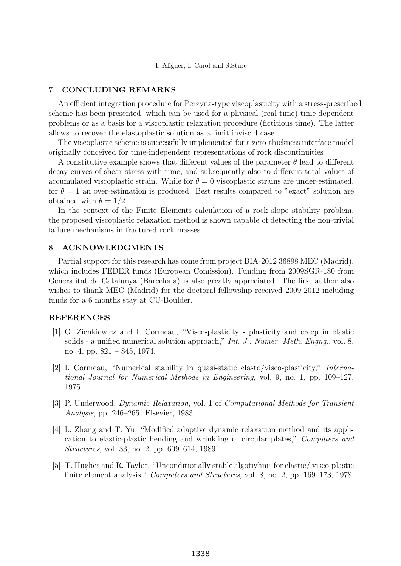### 7 CONCLUDING REMARKS

An efficient integration procedure for Perzyna-type viscoplasticity with a stress-prescribed scheme has been presented, which can be used for a physical (real time) time-dependent problems or as a basis for a viscoplastic relaxation procedure (fictitious time). The latter allows to recover the elastoplastic solution as a limit inviscid case.

The viscoplastic scheme is successfully implemented for a zero-thickness interface model originally conceived for time-independent representations of rock discontinuities

A constitutive example shows that different values of the parameter  $\theta$  lead to different decay curves of shear stress with time, and subsequently also to different total values of accumulated viscoplastic strain. While for  $\theta = 0$  viscoplastic strains are under-estimated, for  $\theta = 1$  an over-estimation is produced. Best results compared to "exact" solution are obtained with  $\theta = 1/2$ .

In the context of the Finite Elements calculation of a rock slope stability problem, the proposed viscoplastic relaxation method is shown capable of detecting the non-trivial failure mechanisms in fractured rock masses.

### 8 ACKNOWLEDGMENTS

Partial support for this research has come from project BIA-2012 36898 MEC (Madrid), which includes FEDER funds (European Comission). Funding from 2009SGR-180 from Generalitat de Catalunya (Barcelona) is also greatly appreciated. The first author also wishes to thank MEC (Madrid) for the doctoral fellowship received 2009-2012 including funds for a 6 months stay at CU-Boulder.

#### REFERENCES

- [1] O. Zienkiewicz and I. Cormeau, "Visco-plasticity plasticity and creep in elastic solids - a unified numerical solution approach," *Int. J. Numer. Meth. Engng.*, vol. 8, no. 4, pp. 821 – 845, 1974.
- [2] I. Cormeau, "Numerical stability in quasi-static elasto/visco-plasticity," International Journal for Numerical Methods in Engineering, vol. 9, no. 1, pp. 109–127, 1975.
- [3] P. Underwood, Dynamic Relaxation, vol. 1 of Computational Methods for Transient Analysis, pp. 246–265. Elsevier, 1983.
- [4] L. Zhang and T. Yu, "Modified adaptive dynamic relaxation method and its application to elastic-plastic bending and wrinkling of circular plates," Computers and Structures, vol. 33, no. 2, pp. 609–614, 1989.
- [5] T. Hughes and R. Taylor, "Unconditionally stable algotiyhms for elastic/ visco-plastic finite element analysis," Computers and Structures, vol. 8, no. 2, pp. 169–173, 1978.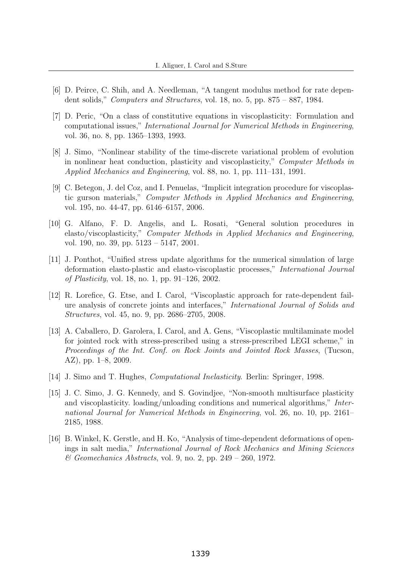- [6] D. Peirce, C. Shih, and A. Needleman, "A tangent modulus method for rate dependent solids," Computers and Structures, vol. 18, no. 5, pp. 875 – 887, 1984.
- [7] D. Peric, "On a class of constitutive equations in viscoplasticity: Formulation and computational issues," International Journal for Numerical Methods in Engineering, vol. 36, no. 8, pp. 1365–1393, 1993.
- [8] J. Simo, "Nonlinear stability of the time-discrete variational problem of evolution in nonlinear heat conduction, plasticity and viscoplasticity," Computer Methods in Applied Mechanics and Engineering, vol. 88, no. 1, pp. 111–131, 1991.
- [9] C. Betegon, J. del Coz, and I. Penuelas, "Implicit integration procedure for viscoplastic gurson materials," Computer Methods in Applied Mechanics and Engineering, vol. 195, no. 44-47, pp. 6146–6157, 2006.
- [10] G. Alfano, F. D. Angelis, and L. Rosati, "General solution procedures in elasto/viscoplasticity," Computer Methods in Applied Mechanics and Engineering, vol. 190, no. 39, pp. 5123 – 5147, 2001.
- [11] J. Ponthot, "Unified stress update algorithms for the numerical simulation of large deformation elasto-plastic and elasto-viscoplastic processes," International Journal of Plasticity, vol. 18, no. 1, pp. 91–126, 2002.
- [12] R. Lorefice, G. Etse, and I. Carol, "Viscoplastic approach for rate-dependent failure analysis of concrete joints and interfaces," International Journal of Solids and Structures, vol. 45, no. 9, pp. 2686–2705, 2008.
- [13] A. Caballero, D. Garolera, I. Carol, and A. Gens, "Viscoplastic multilaminate model for jointed rock with stress-prescribed using a stress-prescribed LEGI scheme," in Proceedings of the Int. Conf. on Rock Joints and Jointed Rock Masses, (Tucson, AZ), pp. 1–8, 2009.
- [14] J. Simo and T. Hughes, Computational Inelasticity. Berlin: Springer, 1998.
- [15] J. C. Simo, J. G. Kennedy, and S. Govindjee, "Non-smooth multisurface plasticity and viscoplasticity. loading/unloading conditions and numerical algorithms," International Journal for Numerical Methods in Engineering, vol. 26, no. 10, pp. 2161– 2185, 1988.
- [16] B. Winkel, K. Gerstle, and H. Ko, "Analysis of time-dependent deformations of openings in salt media," International Journal of Rock Mechanics and Mining Sciences  $\mathcal C$  Geomechanics Abstracts, vol. 9, no. 2, pp. 249 – 260, 1972.